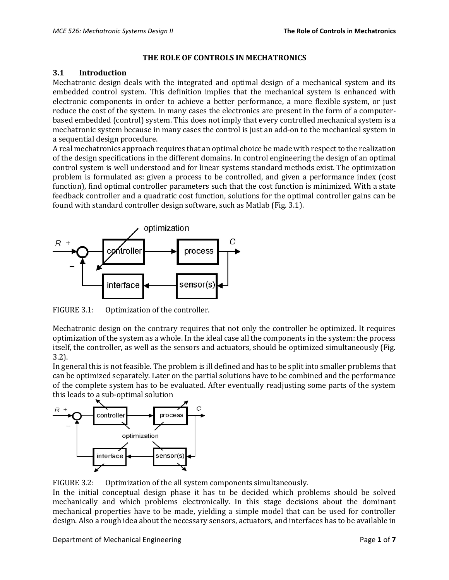### **THE ROLE OF CONTROLS IN MECHATRONICS**

## **3.1 Introduction**

Mechatronic design deals with the integrated and optimal design of a mechanical system and its embedded control system. This definition implies that the mechanical system is enhanced with electronic components in order to achieve a better performance, a more flexible system, or just reduce the cost of the system. In many cases the electronics are present in the form of a computerbased embedded (control) system. This does not imply that every controlled mechanical system is a mechatronic system because in many cases the control is just an add-on to the mechanical system in a sequential design procedure.

A real mechatronics approach requires that an optimal choice be made with respect to the realization of the design specifications in the different domains. In control engineering the design of an optimal control system is well understood and for linear systems standard methods exist. The optimization problem is formulated as: given a process to be controlled, and given a performance index (cost function), find optimal controller parameters such that the cost function is minimized. With a state feedback controller and a quadratic cost function, solutions for the optimal controller gains can be found with standard controller design software, such as Matlab (Fig. 3.1).



FIGURE 3.1: Optimization of the controller.

Mechatronic design on the contrary requires that not only the controller be optimized. It requires optimization of the system as a whole. In the ideal case all the components in the system: the process itself, the controller, as well as the sensors and actuators, should be optimized simultaneously (Fig. 3.2).

In general this is not feasible. The problem is ill defined and has to be split into smaller problems that can be optimized separately. Later on the partial solutions have to be combined and the performance of the complete system has to be evaluated. After eventually readjusting some parts of the system this leads to a sub-optimal solution



FIGURE 3.2: Optimization of the all system components simultaneously.

In the initial conceptual design phase it has to be decided which problems should be solved mechanically and which problems electronically. In this stage decisions about the dominant mechanical properties have to be made, yielding a simple model that can be used for controller design. Also a rough idea about the necessary sensors, actuators, and interfaces has to be available in

**Department of Mechanical Engineering Page 1 of 7**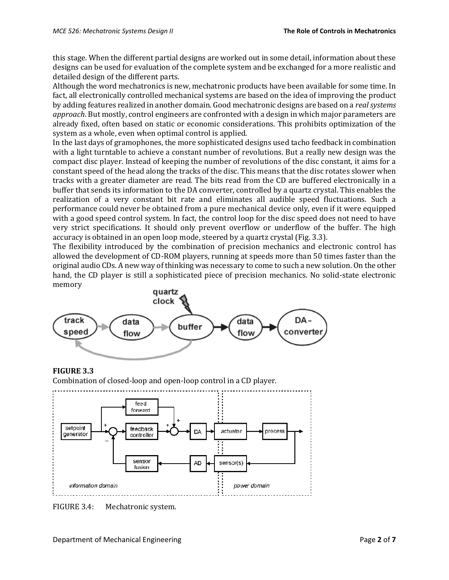this stage. When the different partial designs are worked out in some detail, information about these designs can be used for evaluation of the complete system and be exchanged for a more realistic and detailed design of the different parts.

Although the word mechatronics is new, mechatronic products have been available for some time. In fact, all electronically controlled mechanical systems are based on the idea of improving the product by adding features realized in another domain. Good mechatronic designs are based on a *real systems approach*. But mostly, control engineers are confronted with a design in which major parameters are already fixed, often based on static or economic considerations. This prohibits optimization of the system as a whole, even when optimal control is applied.

In the last days of gramophones, the more sophisticated designs used tacho feedback in combination with a light turntable to achieve a constant number of revolutions. But a really new design was the compact disc player. Instead of keeping the number of revolutions of the disc constant, it aims for a constant speed of the head along the tracks of the disc. This means that the disc rotates slower when tracks with a greater diameter are read. The bits read from the CD are buffered electronically in a buffer that sends its information to the DA converter, controlled by a quartz crystal. This enables the realization of a very constant bit rate and eliminates all audible speed fluctuations. Such a performance could never be obtained from a pure mechanical device only, even if it were equipped with a good speed control system. In fact, the control loop for the disc speed does not need to have very strict specifications. It should only prevent overflow or underflow of the buffer. The high accuracy is obtained in an open loop mode, steered by a quartz crystal (Fig. 3.3).

The flexibility introduced by the combination of precision mechanics and electronic control has allowed the development of CD-ROM players, running at speeds more than 50 times faster than the original audio CDs. A new way of thinking was necessary to come to such a new solution. On the other hand, the CD player is still a sophisticated piece of precision mechanics. No solid-state electronic memory



### **FIGURE 3.3**

Combination of closed-loop and open-loop control in a CD player.



FIGURE 3.4: Mechatronic system.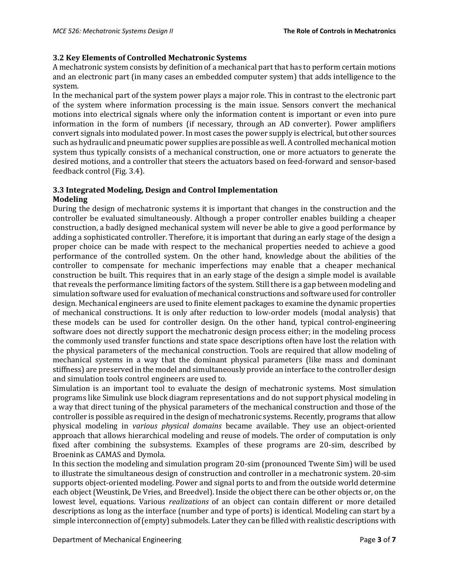# **3.2 Key Elements of Controlled Mechatronic Systems**

A mechatronic system consists by definition of a mechanical part that has to perform certain motions and an electronic part (in many cases an embedded computer system) that adds intelligence to the system.

In the mechanical part of the system power plays a major role. This in contrast to the electronic part of the system where information processing is the main issue. Sensors convert the mechanical motions into electrical signals where only the information content is important or even into pure information in the form of numbers (if necessary, through an AD converter). Power amplifiers convert signals into modulated power. In most cases the power supply is electrical, but other sources such as hydraulic and pneumatic power supplies are possible as well. A controlled mechanical motion system thus typically consists of a mechanical construction, one or more actuators to generate the desired motions, and a controller that steers the actuators based on feed-forward and sensor-based feedback control (Fig. 3.4).

### **3.3 Integrated Modeling, Design and Control Implementation Modeling**

During the design of mechatronic systems it is important that changes in the construction and the controller be evaluated simultaneously. Although a proper controller enables building a cheaper construction, a badly designed mechanical system will never be able to give a good performance by adding a sophisticated controller. Therefore, it is important that during an early stage of the design a proper choice can be made with respect to the mechanical properties needed to achieve a good performance of the controlled system. On the other hand, knowledge about the abilities of the controller to compensate for mechanic imperfections may enable that a cheaper mechanical construction be built. This requires that in an early stage of the design a simple model is available that reveals the performance limiting factors of the system. Still there is a gap between modeling and simulation software used for evaluation of mechanical constructions and software used for controller design. Mechanical engineers are used to finite element packages to examine the dynamic properties of mechanical constructions. It is only after reduction to low-order models (modal analysis) that these models can be used for controller design. On the other hand, typical control-engineering software does not directly support the mechatronic design process either; in the modeling process the commonly used transfer functions and state space descriptions often have lost the relation with the physical parameters of the mechanical construction. Tools are required that allow modeling of mechanical systems in a way that the dominant physical parameters (like mass and dominant stiffness) are preserved in the model and simultaneously provide an interface to the controller design and simulation tools control engineers are used to.

Simulation is an important tool to evaluate the design of mechatronic systems. Most simulation programs like Simulink use block diagram representations and do not support physical modeling in a way that direct tuning of the physical parameters of the mechanical construction and those of the controller is possible as required in the design of mechatronic systems. Recently, programs that allow physical modeling in *various physical domains* became available. They use an object-oriented approach that allows hierarchical modeling and reuse of models. The order of computation is only fixed after combining the subsystems. Examples of these programs are 20-sim, described by Broenink as CAMAS and Dymola.

In this section the modeling and simulation program 20-sim (pronounced Twente Sim) will be used to illustrate the simultaneous design of construction and controller in a mechatronic system. 20-sim supports object-oriented modeling. Power and signal ports to and from the outside world determine each object (Weustink, De Vries, and Breedvel). Inside the object there can be other objects or, on the lowest level, equations. Various *realizations* of an object can contain different or more detailed descriptions as long as the interface (number and type of ports) is identical. Modeling can start by a simple interconnection of (empty) submodels. Later they can be filled with realistic descriptions with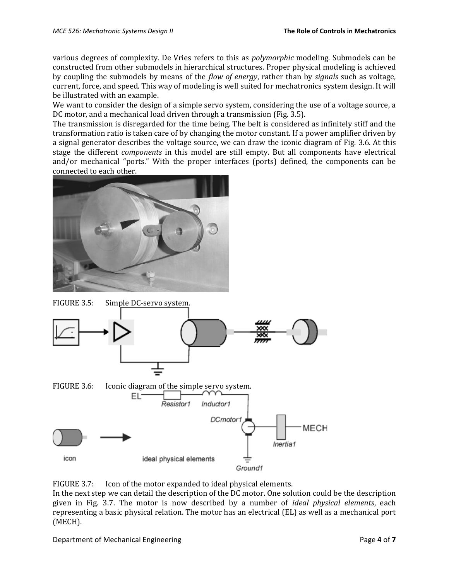various degrees of complexity. De Vries refers to this as *polymorphic* modeling. Submodels can be constructed from other submodels in hierarchical structures. Proper physical modeling is achieved by coupling the submodels by means of the *flow of energy*, rather than by *signals* such as voltage, current, force, and speed. This way of modeling is well suited for mechatronics system design. It will be illustrated with an example.

We want to consider the design of a simple servo system, considering the use of a voltage source, a DC motor, and a mechanical load driven through a transmission (Fig. 3.5).

The transmission is disregarded for the time being. The belt is considered as infinitely stiff and the transformation ratio is taken care of by changing the motor constant. If a power amplifier driven by a signal generator describes the voltage source, we can draw the iconic diagram of Fig. 3.6. At this stage the different *components* in this model are still empty. But all components have electrical and/or mechanical "ports." With the proper interfaces (ports) defined, the components can be connected to each other.



FIGURE 3.5: Simple DC-servo system.



FIGURE 3.7: Icon of the motor expanded to ideal physical elements.

In the next step we can detail the description of the DC motor. One solution could be the description given in Fig. 3.7. The motor is now described by a number of *ideal physical elements*, each representing a basic physical relation. The motor has an electrical (EL) as well as a mechanical port (MECH).

**Department of Mechanical Engineering** Page **4** of **7** and **Page 4** of **7** and **Page 4** of **7**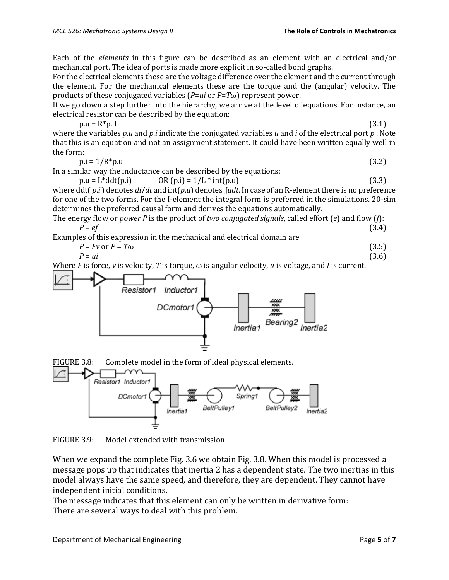Each of the *elements* in this figure can be described as an element with an electrical and/or mechanical port. The idea of ports is made more explicit in so-called bond graphs.

For the electrical elements these are the voltage difference over the element and the current through the element. For the mechanical elements these are the torque and the (angular) velocity. The products of these conjugated variables (*P*=*ui* or *P*=*T*ω) represent power.

If we go down a step further into the hierarchy, we arrive at the level of equations. For instance, an electrical resistor can be described by the equation:

 $p.u = R* p.$  I (3.1)

where the variables *p*.*u* and *p*.*i* indicate the conjugated variables *u* and *i* of the electrical port *p* . Note that this is an equation and not an assignment statement. It could have been written equally well in the form:

$$
p.i = 1/R^*p.u
$$
\n
$$
(3.2)
$$

In a similar way the inductance can be described by the equations:

p.u = L\*ddt(p.i) 
$$
OR(p.i) = 1/L * int(p.u)
$$
 (3.3)

where ddt( *p*.*i*) denotes *di*/*dt* and int(*p*.*u*) denotes ʃ*udt*. In case of an R-element there is no preference for one of the two forms. For the I-element the integral form is preferred in the simulations. 20-sim determines the preferred causal form and derives the equations automatically.

The energy flow or *power P* is the product of *two conjugated signals*, called effort (*e*) and flow (*f*):  $P = ef$  (3.4)

Examples of this expression in the mechanical and electrical domain are

$$
P = Fv \text{ or } P = T\omega \tag{3.5}
$$
  
 
$$
P = ui \tag{3.6}
$$

Where *F* is force, *v* is velocity, *T* is torque, ω is angular velocity, *u* is voltage, and *I* is current.



FIGURE 3.8: Complete model in the form of ideal physical elements.



FIGURE 3.9: Model extended with transmission

When we expand the complete Fig. 3.6 we obtain Fig. 3.8. When this model is processed a message pops up that indicates that inertia 2 has a dependent state. The two inertias in this model always have the same speed, and therefore, they are dependent. They cannot have independent initial conditions.

The message indicates that this element can only be written in derivative form: There are several ways to deal with this problem.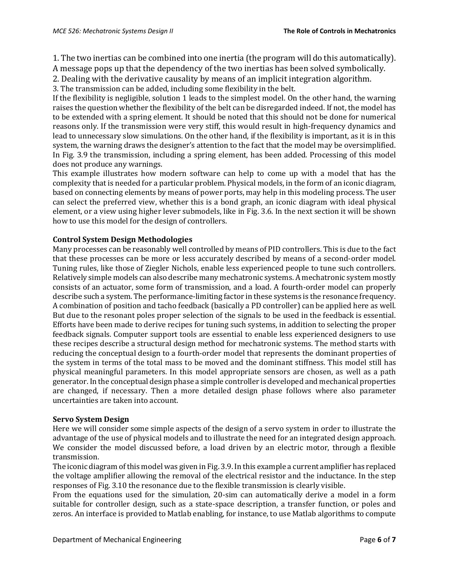1. The two inertias can be combined into one inertia (the program will do this automatically).

A message pops up that the dependency of the two inertias has been solved symbolically.

2. Dealing with the derivative causality by means of an implicit integration algorithm.

3. The transmission can be added, including some flexibility in the belt.

If the flexibility is negligible, solution 1 leads to the simplest model. On the other hand, the warning raises the question whether the flexibility of the belt can be disregarded indeed. If not, the model has to be extended with a spring element. It should be noted that this should not be done for numerical reasons only. If the transmission were very stiff, this would result in high-frequency dynamics and lead to unnecessary slow simulations. On the other hand, if the flexibility is important, as it is in this system, the warning draws the designer's attention to the fact that the model may be oversimplified. In Fig. 3.9 the transmission, including a spring element, has been added. Processing of this model does not produce any warnings.

This example illustrates how modern software can help to come up with a model that has the complexity that is needed for a particular problem. Physical models, in the form of an iconic diagram, based on connecting elements by means of power ports, may help in this modeling process. The user can select the preferred view, whether this is a bond graph, an iconic diagram with ideal physical element, or a view using higher lever submodels, like in Fig. 3.6. In the next section it will be shown how to use this model for the design of controllers.

### **Control System Design Methodologies**

Many processes can be reasonably well controlled by means of PID controllers. This is due to the fact that these processes can be more or less accurately described by means of a second-order model. Tuning rules, like those of Ziegler Nichols, enable less experienced people to tune such controllers. Relatively simple models can also describe many mechatronic systems. A mechatronic system mostly consists of an actuator, some form of transmission, and a load. A fourth-order model can properly describe such a system. The performance-limiting factor in these systems is the resonance frequency. A combination of position and tacho feedback (basically a PD controller) can be applied here as well. But due to the resonant poles proper selection of the signals to be used in the feedback is essential. Efforts have been made to derive recipes for tuning such systems, in addition to selecting the proper feedback signals. Computer support tools are essential to enable less experienced designers to use these recipes describe a structural design method for mechatronic systems. The method starts with reducing the conceptual design to a fourth-order model that represents the dominant properties of the system in terms of the total mass to be moved and the dominant stiffness. This model still has physical meaningful parameters. In this model appropriate sensors are chosen, as well as a path generator. In the conceptual design phase a simple controller is developed and mechanical properties are changed, if necessary. Then a more detailed design phase follows where also parameter uncertainties are taken into account.

### **Servo System Design**

Here we will consider some simple aspects of the design of a servo system in order to illustrate the advantage of the use of physical models and to illustrate the need for an integrated design approach. We consider the model discussed before, a load driven by an electric motor, through a flexible transmission.

The iconic diagram of this model was given in Fig. 3.9. In this example a current amplifier has replaced the voltage amplifier allowing the removal of the electrical resistor and the inductance. In the step responses of Fig. 3.10 the resonance due to the flexible transmission is clearly visible.

From the equations used for the simulation, 20-sim can automatically derive a model in a form suitable for controller design, such as a state-space description, a transfer function, or poles and zeros. An interface is provided to Matlab enabling, for instance, to use Matlab algorithms to compute